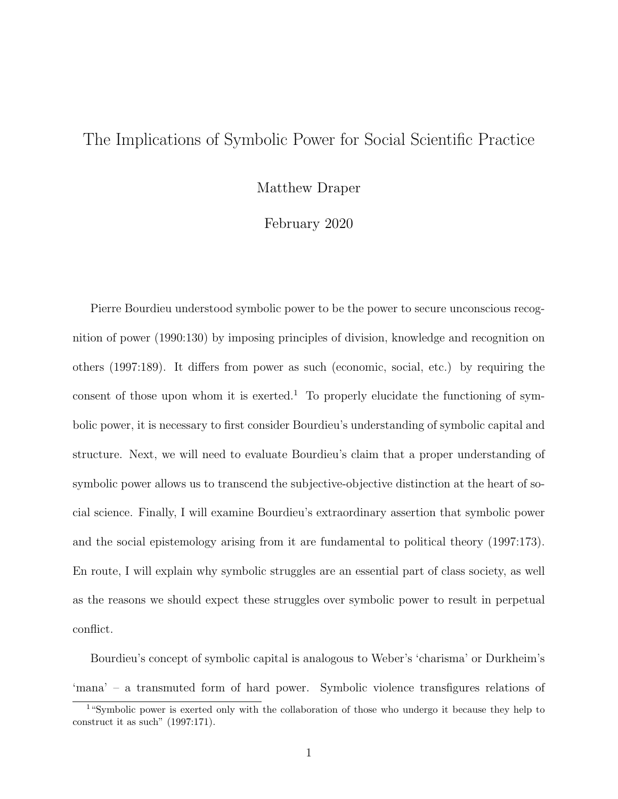## The Implications of Symbolic Power for Social Scientific Practice

Matthew Draper

February 2020

Pierre Bourdieu understood symbolic power to be the power to secure unconscious recognition of power (1990:130) by imposing principles of division, knowledge and recognition on others (1997:189). It differs from power as such (economic, social, etc.) by requiring the consent of those upon whom it is exerted.<sup>1</sup> To properly elucidate the functioning of symbolic power, it is necessary to first consider Bourdieu's understanding of symbolic capital and structure. Next, we will need to evaluate Bourdieu's claim that a proper understanding of symbolic power allows us to transcend the subjective-objective distinction at the heart of social science. Finally, I will examine Bourdieu's extraordinary assertion that symbolic power and the social epistemology arising from it are fundamental to political theory (1997:173). En route, I will explain why symbolic struggles are an essential part of class society, as well as the reasons we should expect these struggles over symbolic power to result in perpetual conflict.

Bourdieu's concept of symbolic capital is analogous to Weber's 'charisma' or Durkheim's 'mana' – a transmuted form of hard power. Symbolic violence transfigures relations of

<sup>&</sup>lt;sup>1</sup>"Symbolic power is exerted only with the collaboration of those who undergo it because they help to construct it as such" (1997:171).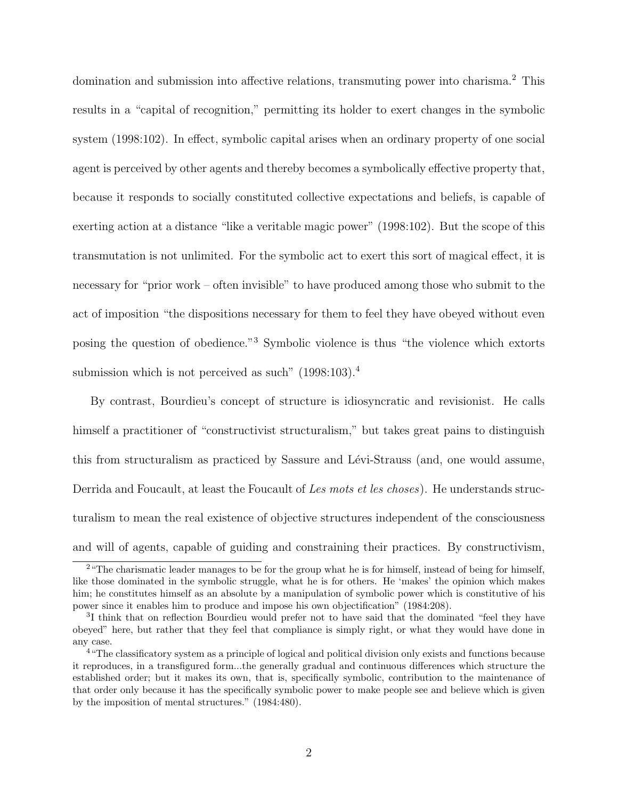domination and submission into affective relations, transmuting power into charisma.<sup>2</sup> This results in a "capital of recognition," permitting its holder to exert changes in the symbolic system (1998:102). In effect, symbolic capital arises when an ordinary property of one social agent is perceived by other agents and thereby becomes a symbolically effective property that, because it responds to socially constituted collective expectations and beliefs, is capable of exerting action at a distance "like a veritable magic power" (1998:102). But the scope of this transmutation is not unlimited. For the symbolic act to exert this sort of magical effect, it is necessary for "prior work – often invisible" to have produced among those who submit to the act of imposition "the dispositions necessary for them to feel they have obeyed without even posing the question of obedience."<sup>3</sup> Symbolic violence is thus "the violence which extorts submission which is not perceived as such" (1998:103).<sup>4</sup>

By contrast, Bourdieu's concept of structure is idiosyncratic and revisionist. He calls himself a practitioner of "constructivist structuralism," but takes great pains to distinguish this from structuralism as practiced by Sassure and Lévi-Strauss (and, one would assume, Derrida and Foucault, at least the Foucault of Les mots et les choses). He understands structuralism to mean the real existence of objective structures independent of the consciousness and will of agents, capable of guiding and constraining their practices. By constructivism,

<sup>&</sup>lt;sup>2</sup> "The charismatic leader manages to be for the group what he is for himself, instead of being for himself, like those dominated in the symbolic struggle, what he is for others. He 'makes' the opinion which makes him; he constitutes himself as an absolute by a manipulation of symbolic power which is constitutive of his power since it enables him to produce and impose his own objectification" (1984:208).

<sup>&</sup>lt;sup>3</sup>I think that on reflection Bourdieu would prefer not to have said that the dominated "feel they have obeyed" here, but rather that they feel that compliance is simply right, or what they would have done in any case.

<sup>4</sup>"The classificatory system as a principle of logical and political division only exists and functions because it reproduces, in a transfigured form...the generally gradual and continuous differences which structure the established order; but it makes its own, that is, specifically symbolic, contribution to the maintenance of that order only because it has the specifically symbolic power to make people see and believe which is given by the imposition of mental structures." (1984:480).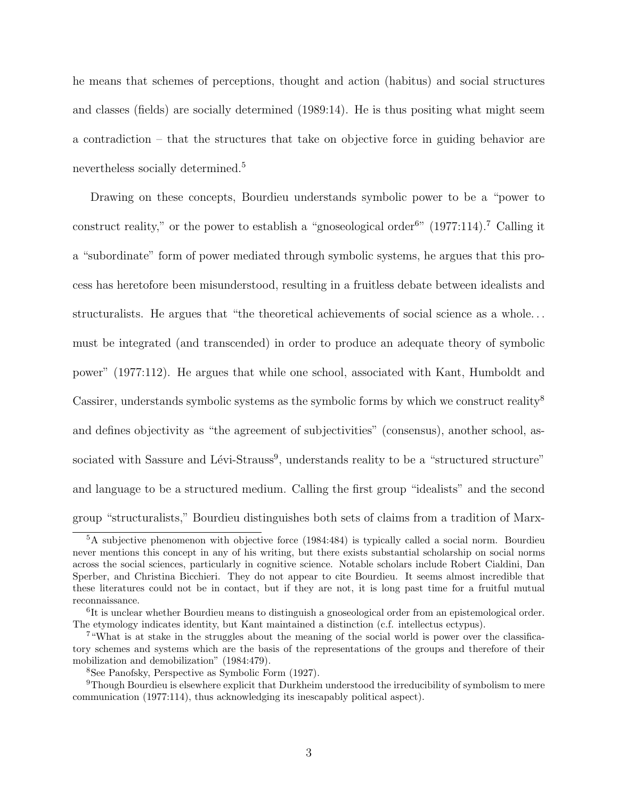he means that schemes of perceptions, thought and action (habitus) and social structures and classes (fields) are socially determined (1989:14). He is thus positing what might seem a contradiction – that the structures that take on objective force in guiding behavior are nevertheless socially determined.<sup>5</sup>

Drawing on these concepts, Bourdieu understands symbolic power to be a "power to construct reality," or the power to establish a "gnoseological order<sup>6"</sup>  $(1977:114)$ .<sup>7</sup> Calling it a "subordinate" form of power mediated through symbolic systems, he argues that this process has heretofore been misunderstood, resulting in a fruitless debate between idealists and structuralists. He argues that "the theoretical achievements of social science as a whole. . . must be integrated (and transcended) in order to produce an adequate theory of symbolic power" (1977:112). He argues that while one school, associated with Kant, Humboldt and Cassirer, understands symbolic systems as the symbolic forms by which we construct reality<sup>8</sup> and defines objectivity as "the agreement of subjectivities" (consensus), another school, associated with Sassure and Lévi-Strauss<sup>9</sup>, understands reality to be a "structured structure" and language to be a structured medium. Calling the first group "idealists" and the second group "structuralists," Bourdieu distinguishes both sets of claims from a tradition of Marx-

<sup>&</sup>lt;sup>5</sup>A subjective phenomenon with objective force (1984:484) is typically called a social norm. Bourdieu never mentions this concept in any of his writing, but there exists substantial scholarship on social norms across the social sciences, particularly in cognitive science. Notable scholars include Robert Cialdini, Dan Sperber, and Christina Bicchieri. They do not appear to cite Bourdieu. It seems almost incredible that these literatures could not be in contact, but if they are not, it is long past time for a fruitful mutual reconnaissance.

<sup>&</sup>lt;sup>6</sup>It is unclear whether Bourdieu means to distinguish a gnoseological order from an epistemological order. The etymology indicates identity, but Kant maintained a distinction (c.f. intellectus ectypus).

<sup>7</sup>"What is at stake in the struggles about the meaning of the social world is power over the classificatory schemes and systems which are the basis of the representations of the groups and therefore of their mobilization and demobilization" (1984:479).

<sup>8</sup>See Panofsky, Perspective as Symbolic Form (1927).

<sup>9</sup>Though Bourdieu is elsewhere explicit that Durkheim understood the irreducibility of symbolism to mere communication (1977:114), thus acknowledging its inescapably political aspect).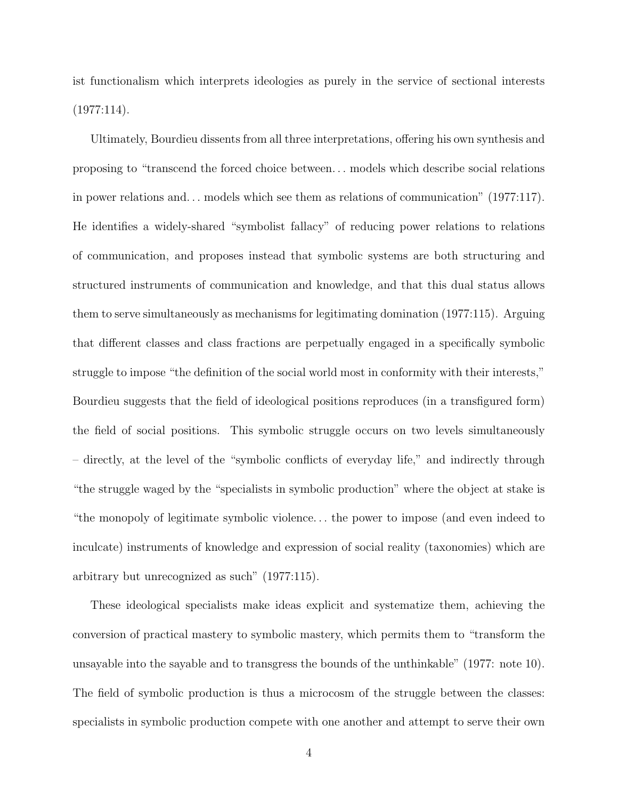ist functionalism which interprets ideologies as purely in the service of sectional interests  $(1977:114).$ 

Ultimately, Bourdieu dissents from all three interpretations, offering his own synthesis and proposing to "transcend the forced choice between. . . models which describe social relations in power relations and. . . models which see them as relations of communication" (1977:117). He identifies a widely-shared "symbolist fallacy" of reducing power relations to relations of communication, and proposes instead that symbolic systems are both structuring and structured instruments of communication and knowledge, and that this dual status allows them to serve simultaneously as mechanisms for legitimating domination (1977:115). Arguing that different classes and class fractions are perpetually engaged in a specifically symbolic struggle to impose "the definition of the social world most in conformity with their interests," Bourdieu suggests that the field of ideological positions reproduces (in a transfigured form) the field of social positions. This symbolic struggle occurs on two levels simultaneously – directly, at the level of the "symbolic conflicts of everyday life," and indirectly through "the struggle waged by the "specialists in symbolic production" where the object at stake is "the monopoly of legitimate symbolic violence. . . the power to impose (and even indeed to inculcate) instruments of knowledge and expression of social reality (taxonomies) which are arbitrary but unrecognized as such" (1977:115).

These ideological specialists make ideas explicit and systematize them, achieving the conversion of practical mastery to symbolic mastery, which permits them to "transform the unsayable into the sayable and to transgress the bounds of the unthinkable" (1977: note 10). The field of symbolic production is thus a microcosm of the struggle between the classes: specialists in symbolic production compete with one another and attempt to serve their own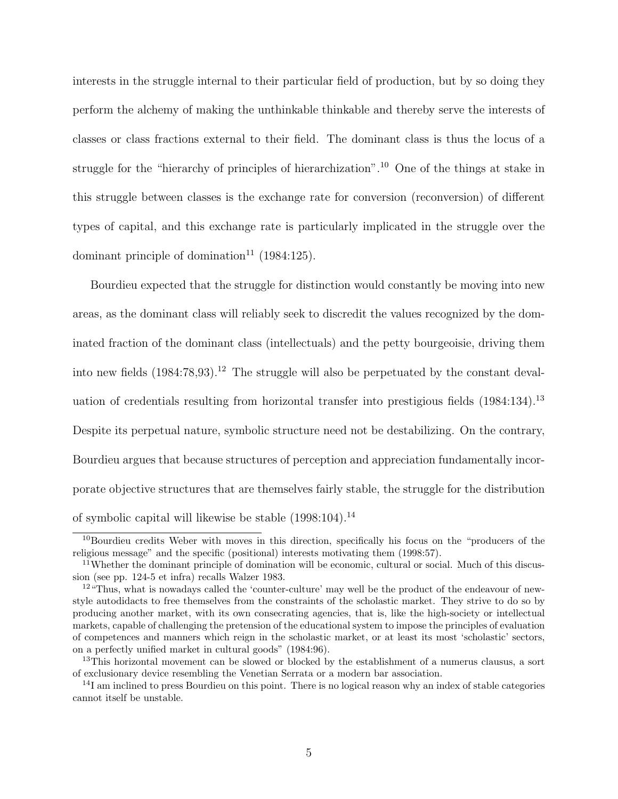interests in the struggle internal to their particular field of production, but by so doing they perform the alchemy of making the unthinkable thinkable and thereby serve the interests of classes or class fractions external to their field. The dominant class is thus the locus of a struggle for the "hierarchy of principles of hierarchization".<sup>10</sup> One of the things at stake in this struggle between classes is the exchange rate for conversion (reconversion) of different types of capital, and this exchange rate is particularly implicated in the struggle over the dominant principle of domination<sup>11</sup> (1984:125).

Bourdieu expected that the struggle for distinction would constantly be moving into new areas, as the dominant class will reliably seek to discredit the values recognized by the dominated fraction of the dominant class (intellectuals) and the petty bourgeoisie, driving them into new fields  $(1984:78,93)$ .<sup>12</sup> The struggle will also be perpetuated by the constant devaluation of credentials resulting from horizontal transfer into prestigious fields (1984:134).<sup>13</sup> Despite its perpetual nature, symbolic structure need not be destabilizing. On the contrary, Bourdieu argues that because structures of perception and appreciation fundamentally incorporate objective structures that are themselves fairly stable, the struggle for the distribution of symbolic capital will likewise be stable  $(1998:104).<sup>14</sup>$ 

<sup>&</sup>lt;sup>10</sup>Bourdieu credits Weber with moves in this direction, specifically his focus on the "producers of the religious message" and the specific (positional) interests motivating them (1998:57).

<sup>11</sup>Whether the dominant principle of domination will be economic, cultural or social. Much of this discussion (see pp. 124-5 et infra) recalls Walzer 1983.

<sup>&</sup>lt;sup>12</sup> "Thus, what is nowadays called the 'counter-culture' may well be the product of the endeavour of newstyle autodidacts to free themselves from the constraints of the scholastic market. They strive to do so by producing another market, with its own consecrating agencies, that is, like the high-society or intellectual markets, capable of challenging the pretension of the educational system to impose the principles of evaluation of competences and manners which reign in the scholastic market, or at least its most 'scholastic' sectors, on a perfectly unified market in cultural goods" (1984:96).

<sup>&</sup>lt;sup>13</sup>This horizontal movement can be slowed or blocked by the establishment of a numerus clausus, a sort of exclusionary device resembling the Venetian Serrata or a modern bar association.

<sup>&</sup>lt;sup>14</sup>I am inclined to press Bourdieu on this point. There is no logical reason why an index of stable categories cannot itself be unstable.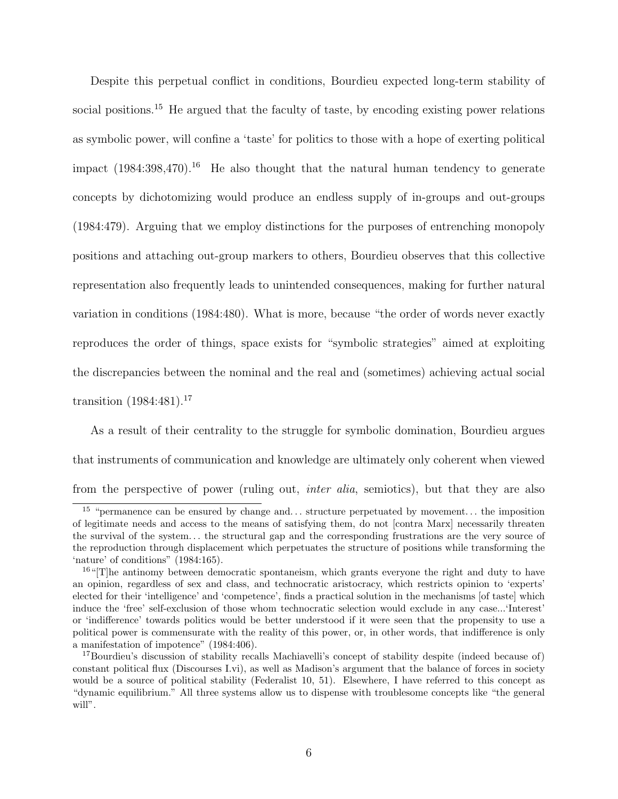Despite this perpetual conflict in conditions, Bourdieu expected long-term stability of social positions.<sup>15</sup> He argued that the faculty of taste, by encoding existing power relations as symbolic power, will confine a 'taste' for politics to those with a hope of exerting political impact  $(1984:398,470).$ <sup>16</sup> He also thought that the natural human tendency to generate concepts by dichotomizing would produce an endless supply of in-groups and out-groups (1984:479). Arguing that we employ distinctions for the purposes of entrenching monopoly positions and attaching out-group markers to others, Bourdieu observes that this collective representation also frequently leads to unintended consequences, making for further natural variation in conditions (1984:480). What is more, because "the order of words never exactly reproduces the order of things, space exists for "symbolic strategies" aimed at exploiting the discrepancies between the nominal and the real and (sometimes) achieving actual social transition  $(1984:481).^{17}$ 

As a result of their centrality to the struggle for symbolic domination, Bourdieu argues that instruments of communication and knowledge are ultimately only coherent when viewed from the perspective of power (ruling out, *inter alia*, semiotics), but that they are also

<sup>&</sup>lt;sup>15</sup> "permanence can be ensured by change and... structure perpetuated by movement... the imposition of legitimate needs and access to the means of satisfying them, do not [contra Marx] necessarily threaten the survival of the system. . . the structural gap and the corresponding frustrations are the very source of the reproduction through displacement which perpetuates the structure of positions while transforming the 'nature' of conditions" (1984:165).

 $16$ "[T]he antinomy between democratic spontaneism, which grants everyone the right and duty to have an opinion, regardless of sex and class, and technocratic aristocracy, which restricts opinion to 'experts' elected for their 'intelligence' and 'competence', finds a practical solution in the mechanisms [of taste] which induce the 'free' self-exclusion of those whom technocratic selection would exclude in any case...'Interest' or 'indifference' towards politics would be better understood if it were seen that the propensity to use a political power is commensurate with the reality of this power, or, in other words, that indifference is only a manifestation of impotence" (1984:406).

<sup>&</sup>lt;sup>17</sup>Bourdieu's discussion of stability recalls Machiavelli's concept of stability despite (indeed because of) constant political flux (Discourses I.vi), as well as Madison's argument that the balance of forces in society would be a source of political stability (Federalist 10, 51). Elsewhere, I have referred to this concept as "dynamic equilibrium." All three systems allow us to dispense with troublesome concepts like "the general will".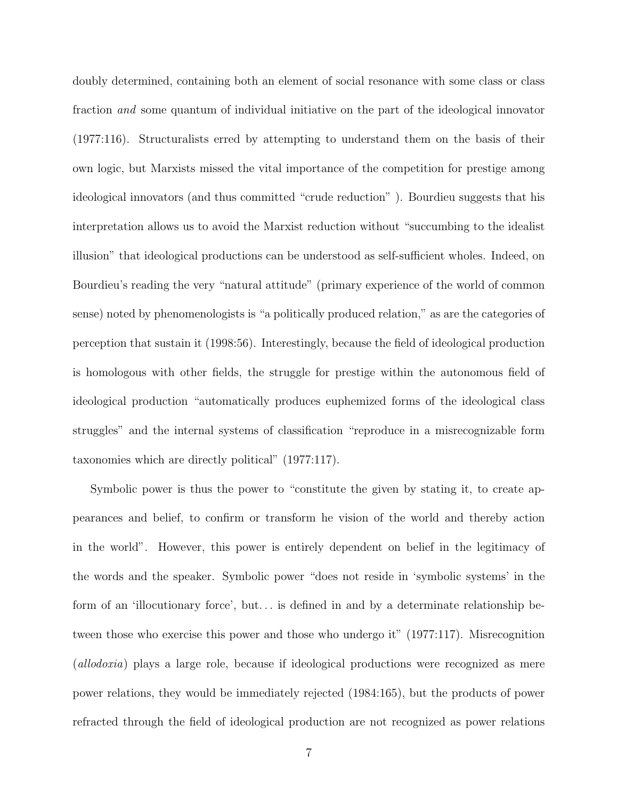doubly determined, containing both an element of social resonance with some class or class fraction and some quantum of individual initiative on the part of the ideological innovator (1977:116). Structuralists erred by attempting to understand them on the basis of their own logic, but Marxists missed the vital importance of the competition for prestige among ideological innovators (and thus committed "crude reduction" ). Bourdieu suggests that his interpretation allows us to avoid the Marxist reduction without "succumbing to the idealist illusion" that ideological productions can be understood as self-sufficient wholes. Indeed, on Bourdieu's reading the very "natural attitude" (primary experience of the world of common sense) noted by phenomenologists is "a politically produced relation," as are the categories of perception that sustain it (1998:56). Interestingly, because the field of ideological production is homologous with other fields, the struggle for prestige within the autonomous field of ideological production "automatically produces euphemized forms of the ideological class struggles" and the internal systems of classification "reproduce in a misrecognizable form taxonomies which are directly political" (1977:117).

Symbolic power is thus the power to "constitute the given by stating it, to create appearances and belief, to confirm or transform he vision of the world and thereby action in the world". However, this power is entirely dependent on belief in the legitimacy of the words and the speaker. Symbolic power "does not reside in 'symbolic systems' in the form of an 'illocutionary force', but... is defined in and by a determinate relationship between those who exercise this power and those who undergo it" (1977:117). Misrecognition (allodoxia) plays a large role, because if ideological productions were recognized as mere power relations, they would be immediately rejected (1984:165), but the products of power refracted through the field of ideological production are not recognized as power relations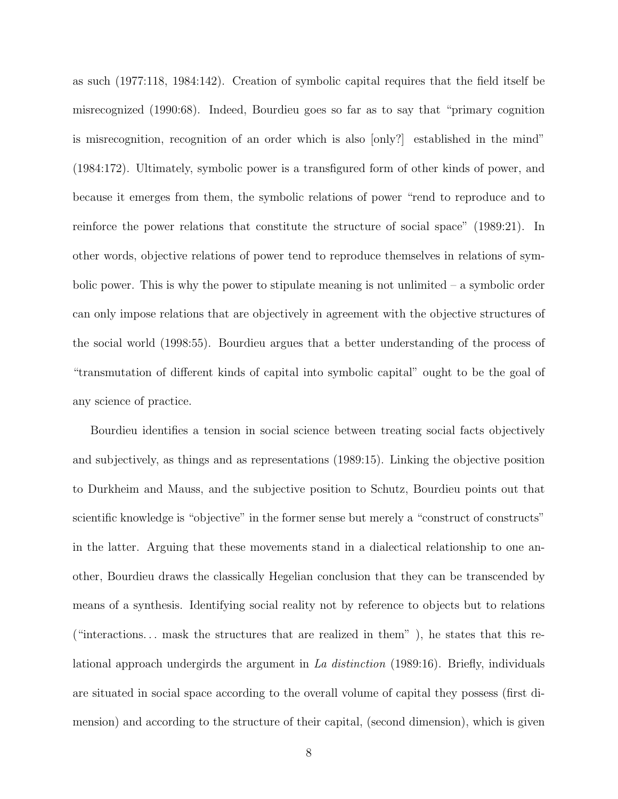as such (1977:118, 1984:142). Creation of symbolic capital requires that the field itself be misrecognized (1990:68). Indeed, Bourdieu goes so far as to say that "primary cognition is misrecognition, recognition of an order which is also [only?] established in the mind" (1984:172). Ultimately, symbolic power is a transfigured form of other kinds of power, and because it emerges from them, the symbolic relations of power "rend to reproduce and to reinforce the power relations that constitute the structure of social space" (1989:21). In other words, objective relations of power tend to reproduce themselves in relations of symbolic power. This is why the power to stipulate meaning is not unlimited – a symbolic order can only impose relations that are objectively in agreement with the objective structures of the social world (1998:55). Bourdieu argues that a better understanding of the process of "transmutation of different kinds of capital into symbolic capital" ought to be the goal of any science of practice.

Bourdieu identifies a tension in social science between treating social facts objectively and subjectively, as things and as representations (1989:15). Linking the objective position to Durkheim and Mauss, and the subjective position to Schutz, Bourdieu points out that scientific knowledge is "objective" in the former sense but merely a "construct of constructs" in the latter. Arguing that these movements stand in a dialectical relationship to one another, Bourdieu draws the classically Hegelian conclusion that they can be transcended by means of a synthesis. Identifying social reality not by reference to objects but to relations ("interactions... mask the structures that are realized in them"), he states that this relational approach undergirds the argument in La distinction (1989:16). Briefly, individuals are situated in social space according to the overall volume of capital they possess (first dimension) and according to the structure of their capital, (second dimension), which is given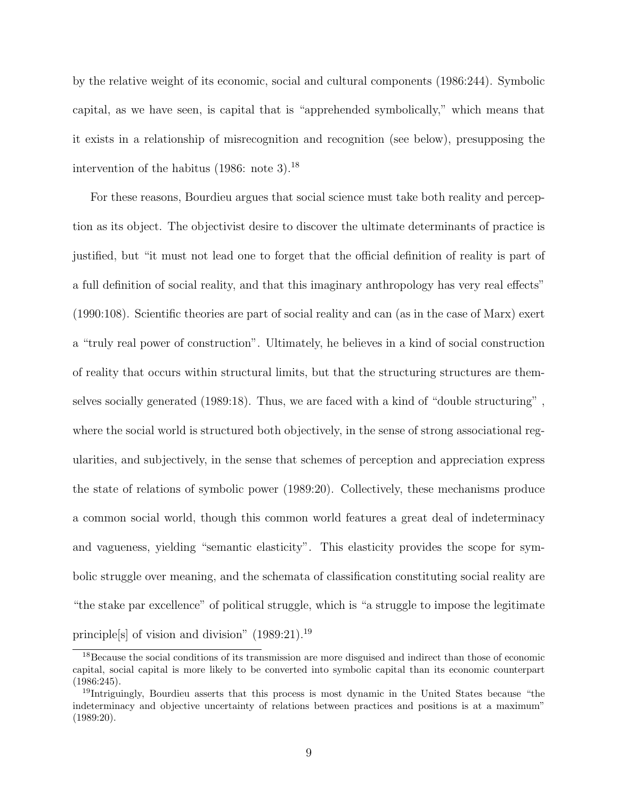by the relative weight of its economic, social and cultural components (1986:244). Symbolic capital, as we have seen, is capital that is "apprehended symbolically," which means that it exists in a relationship of misrecognition and recognition (see below), presupposing the intervention of the habitus  $(1986: \text{ note } 3).^{18}$ 

For these reasons, Bourdieu argues that social science must take both reality and perception as its object. The objectivist desire to discover the ultimate determinants of practice is justified, but "it must not lead one to forget that the official definition of reality is part of a full definition of social reality, and that this imaginary anthropology has very real effects" (1990:108). Scientific theories are part of social reality and can (as in the case of Marx) exert a "truly real power of construction". Ultimately, he believes in a kind of social construction of reality that occurs within structural limits, but that the structuring structures are themselves socially generated (1989:18). Thus, we are faced with a kind of "double structuring" , where the social world is structured both objectively, in the sense of strong associational regularities, and subjectively, in the sense that schemes of perception and appreciation express the state of relations of symbolic power (1989:20). Collectively, these mechanisms produce a common social world, though this common world features a great deal of indeterminacy and vagueness, yielding "semantic elasticity". This elasticity provides the scope for symbolic struggle over meaning, and the schemata of classification constituting social reality are "the stake par excellence" of political struggle, which is "a struggle to impose the legitimate principle[s] of vision and division" (1989:21).<sup>19</sup>

<sup>&</sup>lt;sup>18</sup>Because the social conditions of its transmission are more disguised and indirect than those of economic capital, social capital is more likely to be converted into symbolic capital than its economic counterpart (1986:245).

<sup>19</sup>Intriguingly, Bourdieu asserts that this process is most dynamic in the United States because "the indeterminacy and objective uncertainty of relations between practices and positions is at a maximum"  $(1989:20)$ .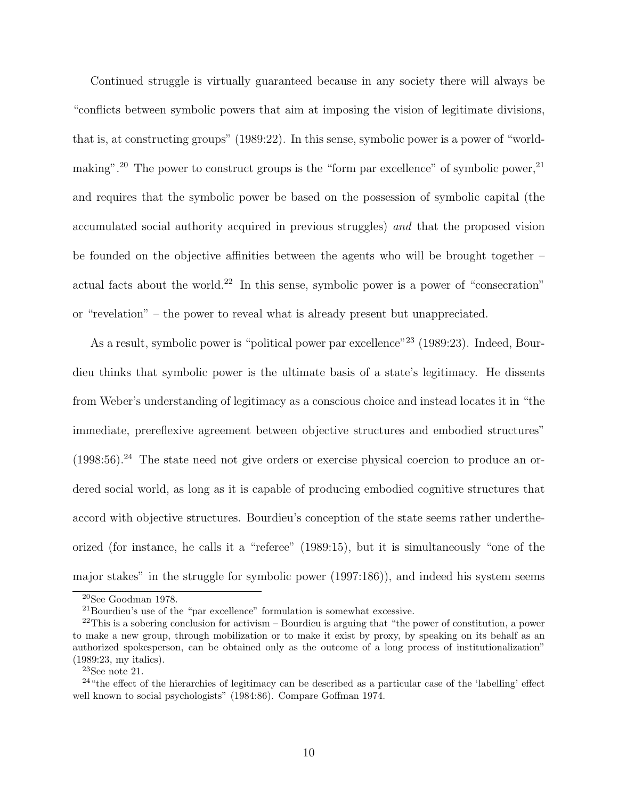Continued struggle is virtually guaranteed because in any society there will always be "conflicts between symbolic powers that aim at imposing the vision of legitimate divisions, that is, at constructing groups" (1989:22). In this sense, symbolic power is a power of "worldmaking".<sup>20</sup> The power to construct groups is the "form par excellence" of symbolic power,  $2<sup>1</sup>$ and requires that the symbolic power be based on the possession of symbolic capital (the accumulated social authority acquired in previous struggles) and that the proposed vision be founded on the objective affinities between the agents who will be brought together – actual facts about the world.<sup>22</sup> In this sense, symbolic power is a power of "consecration" or "revelation" – the power to reveal what is already present but unappreciated.

As a result, symbolic power is "political power par excellence"<sup>23</sup> (1989:23). Indeed, Bourdieu thinks that symbolic power is the ultimate basis of a state's legitimacy. He dissents from Weber's understanding of legitimacy as a conscious choice and instead locates it in "the immediate, prereflexive agreement between objective structures and embodied structures"  $(1998:56).<sup>24</sup>$  The state need not give orders or exercise physical coercion to produce an ordered social world, as long as it is capable of producing embodied cognitive structures that accord with objective structures. Bourdieu's conception of the state seems rather undertheorized (for instance, he calls it a "referee" (1989:15), but it is simultaneously "one of the major stakes" in the struggle for symbolic power (1997:186)), and indeed his system seems

<sup>20</sup>See Goodman 1978.

 $^{21}\rm{Bourdieu's}$  use of the "par excellence" formulation is somewhat excessive.

 $^{22}$ This is a sobering conclusion for activism – Bourdieu is arguing that "the power of constitution, a power to make a new group, through mobilization or to make it exist by proxy, by speaking on its behalf as an authorized spokesperson, can be obtained only as the outcome of a long process of institutionalization" (1989:23, my italics).

 $23$ See note 21.

<sup>&</sup>lt;sup>24</sup>"the effect of the hierarchies of legitimacy can be described as a particular case of the 'labelling' effect well known to social psychologists" (1984:86). Compare Goffman 1974.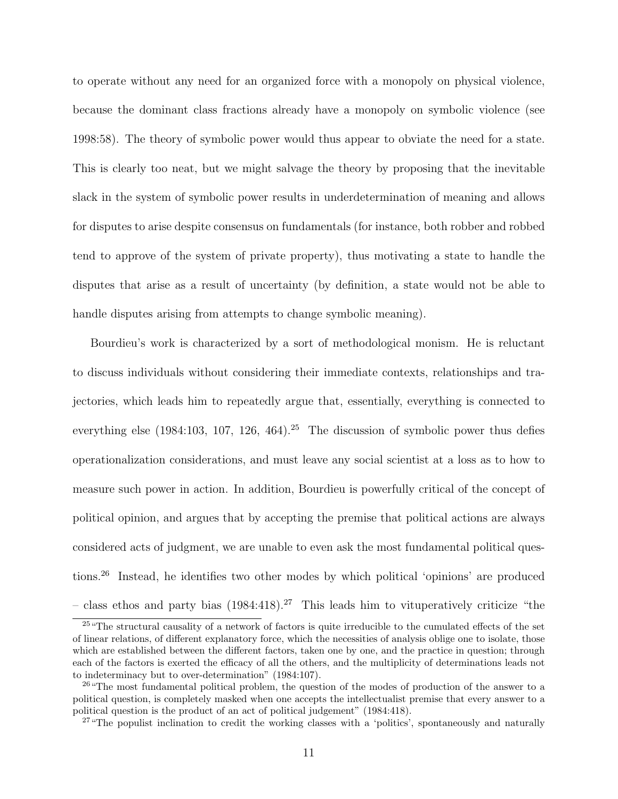to operate without any need for an organized force with a monopoly on physical violence, because the dominant class fractions already have a monopoly on symbolic violence (see 1998:58). The theory of symbolic power would thus appear to obviate the need for a state. This is clearly too neat, but we might salvage the theory by proposing that the inevitable slack in the system of symbolic power results in underdetermination of meaning and allows for disputes to arise despite consensus on fundamentals (for instance, both robber and robbed tend to approve of the system of private property), thus motivating a state to handle the disputes that arise as a result of uncertainty (by definition, a state would not be able to handle disputes arising from attempts to change symbolic meaning).

Bourdieu's work is characterized by a sort of methodological monism. He is reluctant to discuss individuals without considering their immediate contexts, relationships and trajectories, which leads him to repeatedly argue that, essentially, everything is connected to everything else  $(1984:103, 107, 126, 464).$ <sup>25</sup> The discussion of symbolic power thus defies operationalization considerations, and must leave any social scientist at a loss as to how to measure such power in action. In addition, Bourdieu is powerfully critical of the concept of political opinion, and argues that by accepting the premise that political actions are always considered acts of judgment, we are unable to even ask the most fundamental political questions.<sup>26</sup> Instead, he identifies two other modes by which political 'opinions' are produced – class ethos and party bias  $(1984:418).^{27}$  This leads him to vituperatively criticize "the

<sup>&</sup>lt;sup>25</sup> "The structural causality of a network of factors is quite irreducible to the cumulated effects of the set of linear relations, of different explanatory force, which the necessities of analysis oblige one to isolate, those which are established between the different factors, taken one by one, and the practice in question; through each of the factors is exerted the efficacy of all the others, and the multiplicity of determinations leads not to indeterminacy but to over-determination" (1984:107).

<sup>&</sup>lt;sup>26</sup> "The most fundamental political problem, the question of the modes of production of the answer to a political question, is completely masked when one accepts the intellectualist premise that every answer to a political question is the product of an act of political judgement" (1984:418).

<sup>&</sup>lt;sup>27</sup> "The populist inclination to credit the working classes with a 'politics', spontaneously and naturally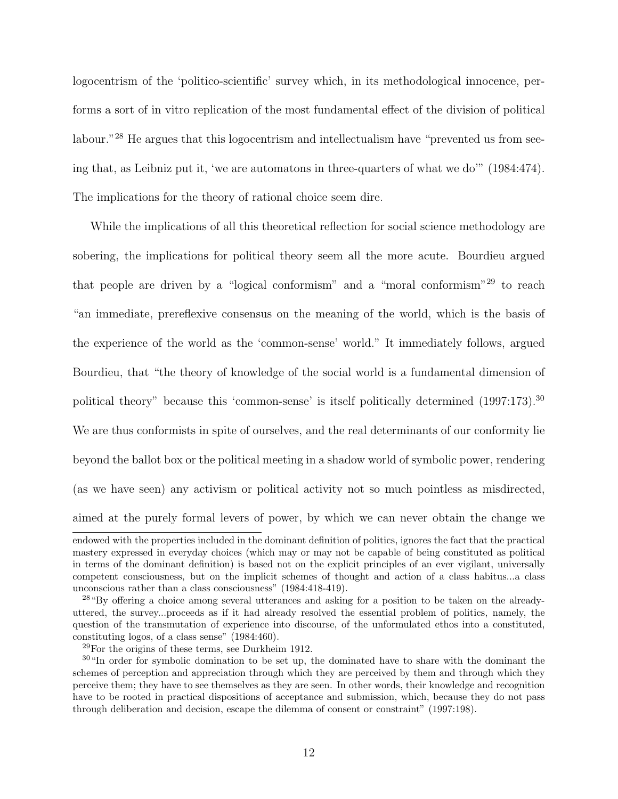logocentrism of the 'politico-scientific' survey which, in its methodological innocence, performs a sort of in vitro replication of the most fundamental effect of the division of political labour."<sup>28</sup> He argues that this logocentrism and intellectualism have "prevented us from seeing that, as Leibniz put it, 'we are automatons in three-quarters of what we do'" (1984:474). The implications for the theory of rational choice seem dire.

While the implications of all this theoretical reflection for social science methodology are sobering, the implications for political theory seem all the more acute. Bourdieu argued that people are driven by a "logical conformism" and a "moral conformism"<sup>29</sup> to reach "an immediate, prereflexive consensus on the meaning of the world, which is the basis of the experience of the world as the 'common-sense' world." It immediately follows, argued Bourdieu, that "the theory of knowledge of the social world is a fundamental dimension of political theory" because this 'common-sense' is itself politically determined (1997:173).<sup>30</sup> We are thus conformists in spite of ourselves, and the real determinants of our conformity lie beyond the ballot box or the political meeting in a shadow world of symbolic power, rendering (as we have seen) any activism or political activity not so much pointless as misdirected, aimed at the purely formal levers of power, by which we can never obtain the change we endowed with the properties included in the dominant definition of politics, ignores the fact that the practical mastery expressed in everyday choices (which may or may not be capable of being constituted as political

in terms of the dominant definition) is based not on the explicit principles of an ever vigilant, universally competent consciousness, but on the implicit schemes of thought and action of a class habitus...a class unconscious rather than a class consciousness" (1984:418-419).

<sup>28</sup>"By offering a choice among several utterances and asking for a position to be taken on the alreadyuttered, the survey...proceeds as if it had already resolved the essential problem of politics, namely, the question of the transmutation of experience into discourse, of the unformulated ethos into a constituted, constituting logos, of a class sense" (1984:460).

 $29$ For the origins of these terms, see Durkheim 1912.

<sup>&</sup>lt;sup>30</sup>"In order for symbolic domination to be set up, the dominated have to share with the dominant the schemes of perception and appreciation through which they are perceived by them and through which they perceive them; they have to see themselves as they are seen. In other words, their knowledge and recognition have to be rooted in practical dispositions of acceptance and submission, which, because they do not pass through deliberation and decision, escape the dilemma of consent or constraint" (1997:198).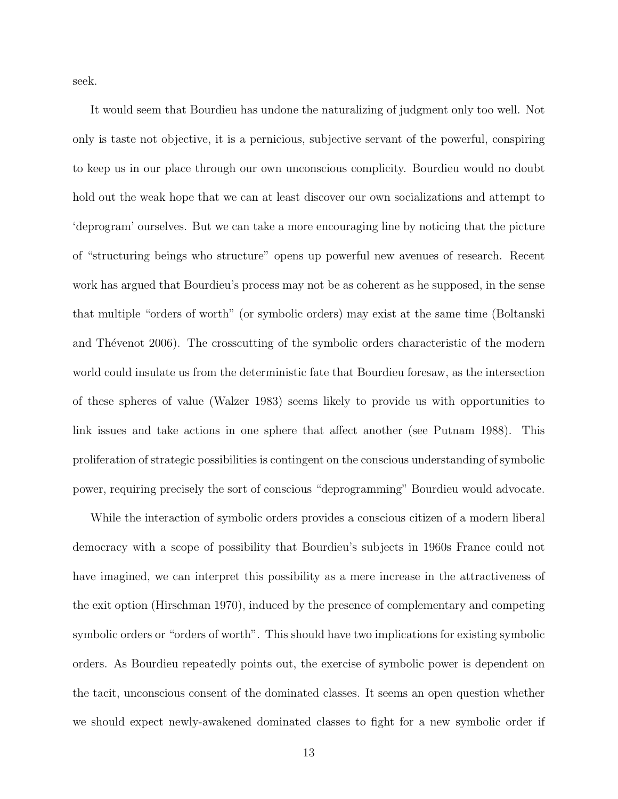seek.

It would seem that Bourdieu has undone the naturalizing of judgment only too well. Not only is taste not objective, it is a pernicious, subjective servant of the powerful, conspiring to keep us in our place through our own unconscious complicity. Bourdieu would no doubt hold out the weak hope that we can at least discover our own socializations and attempt to 'deprogram' ourselves. But we can take a more encouraging line by noticing that the picture of "structuring beings who structure" opens up powerful new avenues of research. Recent work has argued that Bourdieu's process may not be as coherent as he supposed, in the sense that multiple "orders of worth" (or symbolic orders) may exist at the same time (Boltanski and Thévenot 2006). The crosscutting of the symbolic orders characteristic of the modern world could insulate us from the deterministic fate that Bourdieu foresaw, as the intersection of these spheres of value (Walzer 1983) seems likely to provide us with opportunities to link issues and take actions in one sphere that affect another (see Putnam 1988). This proliferation of strategic possibilities is contingent on the conscious understanding of symbolic power, requiring precisely the sort of conscious "deprogramming" Bourdieu would advocate.

While the interaction of symbolic orders provides a conscious citizen of a modern liberal democracy with a scope of possibility that Bourdieu's subjects in 1960s France could not have imagined, we can interpret this possibility as a mere increase in the attractiveness of the exit option (Hirschman 1970), induced by the presence of complementary and competing symbolic orders or "orders of worth". This should have two implications for existing symbolic orders. As Bourdieu repeatedly points out, the exercise of symbolic power is dependent on the tacit, unconscious consent of the dominated classes. It seems an open question whether we should expect newly-awakened dominated classes to fight for a new symbolic order if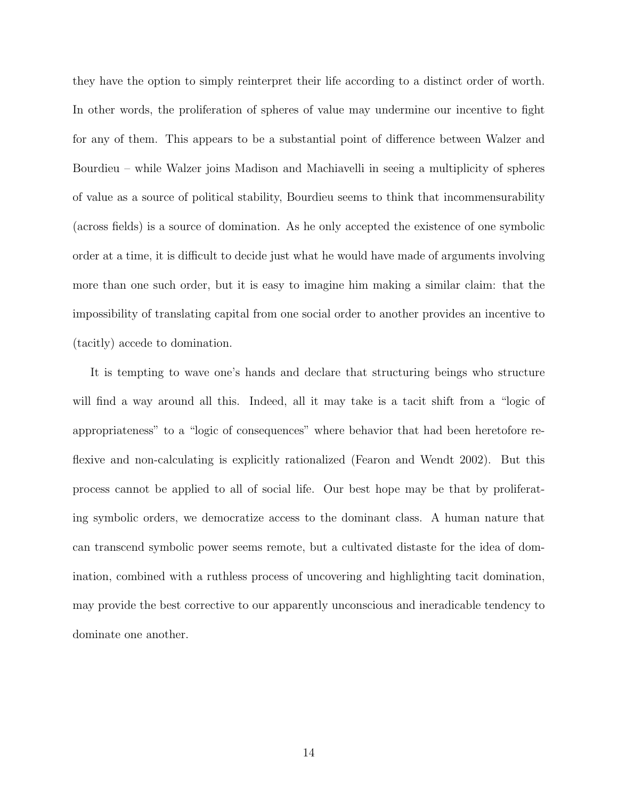they have the option to simply reinterpret their life according to a distinct order of worth. In other words, the proliferation of spheres of value may undermine our incentive to fight for any of them. This appears to be a substantial point of difference between Walzer and Bourdieu – while Walzer joins Madison and Machiavelli in seeing a multiplicity of spheres of value as a source of political stability, Bourdieu seems to think that incommensurability (across fields) is a source of domination. As he only accepted the existence of one symbolic order at a time, it is difficult to decide just what he would have made of arguments involving more than one such order, but it is easy to imagine him making a similar claim: that the impossibility of translating capital from one social order to another provides an incentive to (tacitly) accede to domination.

It is tempting to wave one's hands and declare that structuring beings who structure will find a way around all this. Indeed, all it may take is a tacit shift from a "logic of appropriateness" to a "logic of consequences" where behavior that had been heretofore reflexive and non-calculating is explicitly rationalized (Fearon and Wendt 2002). But this process cannot be applied to all of social life. Our best hope may be that by proliferating symbolic orders, we democratize access to the dominant class. A human nature that can transcend symbolic power seems remote, but a cultivated distaste for the idea of domination, combined with a ruthless process of uncovering and highlighting tacit domination, may provide the best corrective to our apparently unconscious and ineradicable tendency to dominate one another.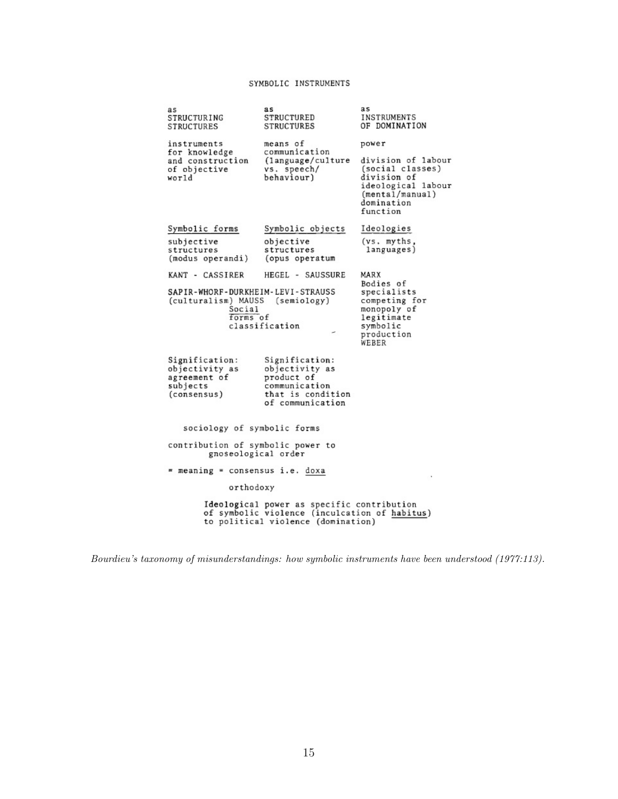## SYMBOLIC INSTRUMENTS

| as<br>STRUCTURING<br>STRUCTURES                                                                                                   | as<br>STRUCTURED<br>STRUCTURES                 | as<br>INSTRUMENTS<br>OF DOMINATION                                                                                       |  |
|-----------------------------------------------------------------------------------------------------------------------------------|------------------------------------------------|--------------------------------------------------------------------------------------------------------------------------|--|
| instruments<br>for knowledge                                                                                                      | means of<br>communication                      | power                                                                                                                    |  |
| and construction<br>of objective<br>world                                                                                         | (language/culture<br>vs. speech/<br>behaviour) | division of labour<br>(social classes)<br>division of<br>ideological labour<br>(mental/manual)<br>domination<br>function |  |
| Symbolic forms                                                                                                                    | Symbolic objects                               | Ideologies                                                                                                               |  |
| subjective                                                                                                                        | objective                                      | (vs. myths,                                                                                                              |  |
| structures<br>(modus operandi)                                                                                                    | structures<br>(opus operatum                   | languages)                                                                                                               |  |
| KANT - CASSIRER                                                                                                                   | HEGEL - SAUSSURE                               | MARX                                                                                                                     |  |
| SAPIR-WHORF-DURKHEIM-LEVI-STRAUSS<br>(culturalism) MAUSS (semiology)<br>Social<br>forms of<br>classification                      |                                                | Bodies of<br>specialists<br>competing for<br>monopoly of<br>legitimate<br>symbolic<br>production<br>WEBER                |  |
| Signification:<br>objectivity as                                                                                                  | Signification:                                 |                                                                                                                          |  |
| agreement of                                                                                                                      | objectivity as<br>product of                   |                                                                                                                          |  |
| subjects                                                                                                                          | communication<br>that is condition             |                                                                                                                          |  |
| (consensus)                                                                                                                       | of communication                               |                                                                                                                          |  |
| sociology of symbolic forms                                                                                                       |                                                |                                                                                                                          |  |
| contribution of symbolic power to<br>gnoseological order                                                                          |                                                |                                                                                                                          |  |
| = meaning = consensus i.e. doxa                                                                                                   |                                                | ٠                                                                                                                        |  |
| orthodoxy                                                                                                                         |                                                |                                                                                                                          |  |
| Ideological power as specific contribution<br>of symbolic violence (inculcation of habitus)<br>to political violence (domination) |                                                |                                                                                                                          |  |
|                                                                                                                                   |                                                |                                                                                                                          |  |

Bourdieu's taxonomy of misunderstandings: how symbolic instruments have been understood (1977:113).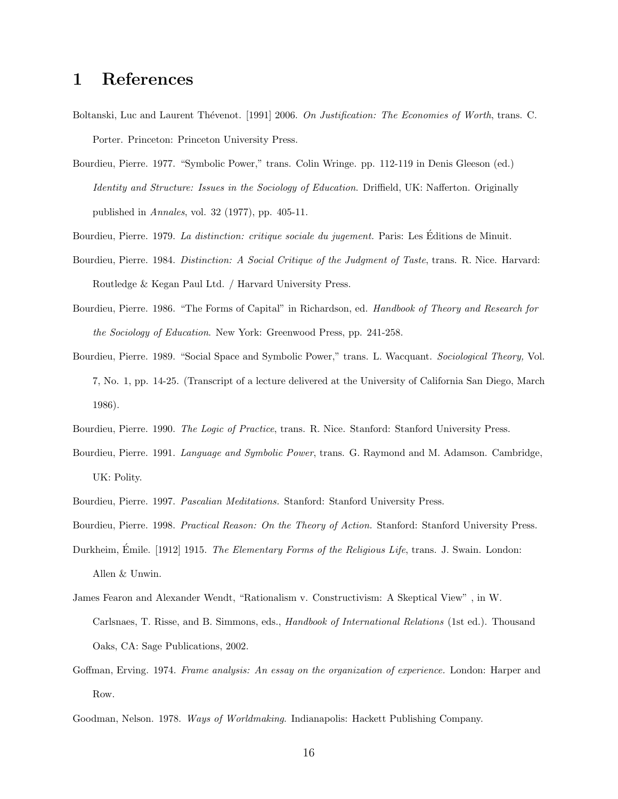## 1 References

- Boltanski, Luc and Laurent Thévenot. [1991] 2006. On Justification: The Economies of Worth, trans. C. Porter. Princeton: Princeton University Press.
- Bourdieu, Pierre. 1977. "Symbolic Power," trans. Colin Wringe. pp. 112-119 in Denis Gleeson (ed.) Identity and Structure: Issues in the Sociology of Education. Driffield, UK: Nafferton. Originally published in Annales, vol. 32 (1977), pp. 405-11.
- Bourdieu, Pierre. 1979. La distinction: critique sociale du jugement. Paris: Les Éditions de Minuit.
- Bourdieu, Pierre. 1984. Distinction: A Social Critique of the Judgment of Taste, trans. R. Nice. Harvard: Routledge & Kegan Paul Ltd. / Harvard University Press.
- Bourdieu, Pierre. 1986. "The Forms of Capital" in Richardson, ed. Handbook of Theory and Research for the Sociology of Education. New York: Greenwood Press, pp. 241-258.
- Bourdieu, Pierre. 1989. "Social Space and Symbolic Power," trans. L. Wacquant. Sociological Theory, Vol. 7, No. 1, pp. 14-25. (Transcript of a lecture delivered at the University of California San Diego, March 1986).
- Bourdieu, Pierre. 1990. The Logic of Practice, trans. R. Nice. Stanford: Stanford University Press.
- Bourdieu, Pierre. 1991. Language and Symbolic Power, trans. G. Raymond and M. Adamson. Cambridge, UK: Polity.
- Bourdieu, Pierre. 1997. Pascalian Meditations. Stanford: Stanford University Press.
- Bourdieu, Pierre. 1998. Practical Reason: On the Theory of Action. Stanford: Stanford University Press.
- Durkheim, Émile. [1912] 1915. The Elementary Forms of the Religious Life, trans. J. Swain. London: Allen & Unwin.
- James Fearon and Alexander Wendt, "Rationalism v. Constructivism: A Skeptical View" , in W. Carlsnaes, T. Risse, and B. Simmons, eds., Handbook of International Relations (1st ed.). Thousand Oaks, CA: Sage Publications, 2002.
- Goffman, Erving. 1974. Frame analysis: An essay on the organization of experience. London: Harper and Row.
- Goodman, Nelson. 1978. Ways of Worldmaking. Indianapolis: Hackett Publishing Company.